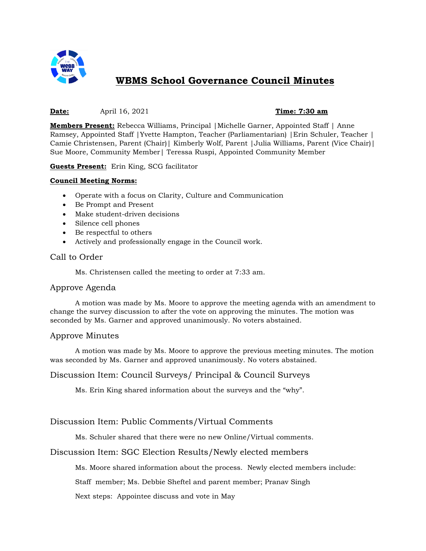

# **WBMS School Governance Council Minutes**

#### **Date:** April 16, 2021 **Time: 7:30 am**

**Members Present:** Rebecca Williams, Principal |Michelle Garner, Appointed Staff | Anne Ramsey, Appointed Staff |Yvette Hampton, Teacher (Parliamentarian) |Erin Schuler, Teacher | Camie Christensen, Parent (Chair)| Kimberly Wolf, Parent |Julia Williams, Parent (Vice Chair)| Sue Moore, Community Member| Teressa Ruspi, Appointed Community Member

**Guests Present:** Erin King, SCG facilitator

#### **Council Meeting Norms:**

- Operate with a focus on Clarity, Culture and Communication
- Be Prompt and Present
- Make student-driven decisions
- Silence cell phones
- Be respectful to others
- Actively and professionally engage in the Council work.

#### Call to Order

Ms. Christensen called the meeting to order at 7:33 am.

#### Approve Agenda

A motion was made by Ms. Moore to approve the meeting agenda with an amendment to change the survey discussion to after the vote on approving the minutes. The motion was seconded by Ms. Garner and approved unanimously. No voters abstained.

#### Approve Minutes

A motion was made by Ms. Moore to approve the previous meeting minutes. The motion was seconded by Ms. Garner and approved unanimously. No voters abstained.

### Discussion Item: Council Surveys/ Principal & Council Surveys

Ms. Erin King shared information about the surveys and the "why".

#### Discussion Item: Public Comments/Virtual Comments

Ms. Schuler shared that there were no new Online/Virtual comments.

#### Discussion Item: SGC Election Results/Newly elected members

Ms. Moore shared information about the process. Newly elected members include:

Staff member; Ms. Debbie Sheftel and parent member; Pranav Singh

Next steps: Appointee discuss and vote in May